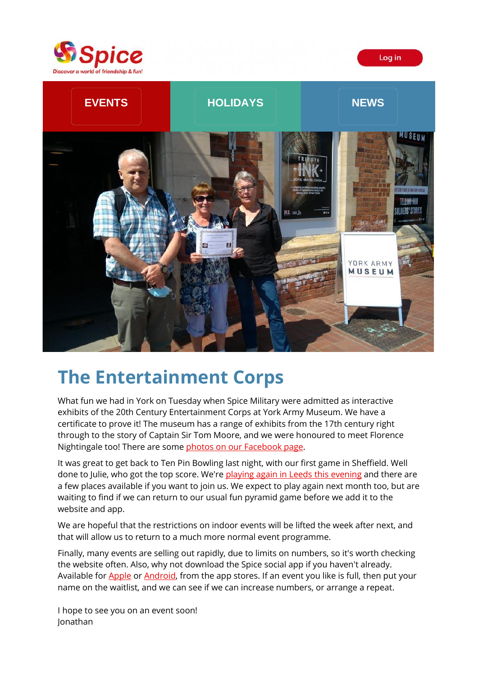



# **The Entertainment Corps**

What fun we had in York on Tuesday when Spice Military were admitted as interactive exhibits of the 20th Century Entertainment Corps at York Army Museum. We have a certificate to prove it! The museum has a range of exhibits from the 17th century right through to the story of Captain Sir Tom Moore, and we were honoured to meet Florence Nightingale too! There are some [photos on our Facebook page.](https://spiceuk.lt.acemlna.com/Prod/link-tracker?redirectUrl=aHR0cHMlM0ElMkYlMkZ3d3cuZmFjZWJvb2suY29tJTJGU3BpY2VZb3Jrc2hpcmUlMkZwaG90b3M=&a=650344965&account=spiceuk%2Eactivehosted%2Ecom&email=1lNuJE%2BrfgC%2F8jRYTdcwIV8mo4ad0FCroTtAVDq%2FbzQ%3D&s=b900027c55ea3ffe9431fd4817f89468&i=113A131A4A2398)

It was great to get back to Ten Pin Bowling last night, with our first game in Sheffield. Well done to Julie, who got the top score. We're [playing again in Leeds this](https://spiceuk.lt.acemlna.com/Prod/link-tracker?redirectUrl=aHR0cHMlM0ElMkYlMkZ3d3cuc3BpY2V1ay5jb20lMkZldmVudHMtaG9saWRheXMlMkZ0ZW4tcGluLWJvd2xpbmctbGVlZHMtMTAtanVuLTIx&a=650344965&account=spiceuk%2Eactivehosted%2Ecom&email=1lNuJE%2BrfgC%2F8jRYTdcwIV8mo4ad0FCroTtAVDq%2FbzQ%3D&s=b900027c55ea3ffe9431fd4817f89468&i=113A131A4A2405) evening and there are a few places available if you want to join us. We expect to play again next month too, but are waiting to find if we can return to our usual fun pyramid game before we add it to the website and app.

We are hopeful that the restrictions on indoor events will be lifted the week after next, and that will allow us to return to a much more normal event programme.

Finally, many events are selling out rapidly, due to limits on numbers, so it's worth checking the website often. Also, why not download the Spice social app if you haven't already. Available for [Apple](https://spiceuk.lt.acemlna.com/Prod/link-tracker?redirectUrl=aHR0cHMlM0ElMkYlMkZhcHBzLmFwcGxlLmNvbSUyRmdiJTJGYXBwJTJGc3BpY2Utc29jaWFsJTJGaWQxNDgyOTcxMDk4JTNGaXRzY3QlM0RhcHBzX2JveCUyNiUyNml0c2NnJTNEMzAyMDA=&a=650344965&account=spiceuk%2Eactivehosted%2Ecom&email=1lNuJE%2BrfgC%2F8jRYTdcwIV8mo4ad0FCroTtAVDq%2FbzQ%3D&s=b900027c55ea3ffe9431fd4817f89468&i=113A131A4A2422) o[r Android,](https://spiceuk.lt.acemlna.com/Prod/link-tracker?redirectUrl=aHR0cHMlM0ElMkYlMkZwbGF5Lmdvb2dsZS5jb20lMkZzdG9yZSUyRmFwcHMlMkZkZXRhaWxzJTNGaWQlM0Rjb20uU3BpY2UuTWVtYmVyQXBw&a=650344965&account=spiceuk%2Eactivehosted%2Ecom&email=1lNuJE%2BrfgC%2F8jRYTdcwIV8mo4ad0FCroTtAVDq%2FbzQ%3D&s=b900027c55ea3ffe9431fd4817f89468&i=113A131A4A2421) from the app stores. If an event you like is full, then put your name on the waitlist, and we can see if we can increase numbers, or arrange a repeat.

I hope to see you on an event soon! Jonathan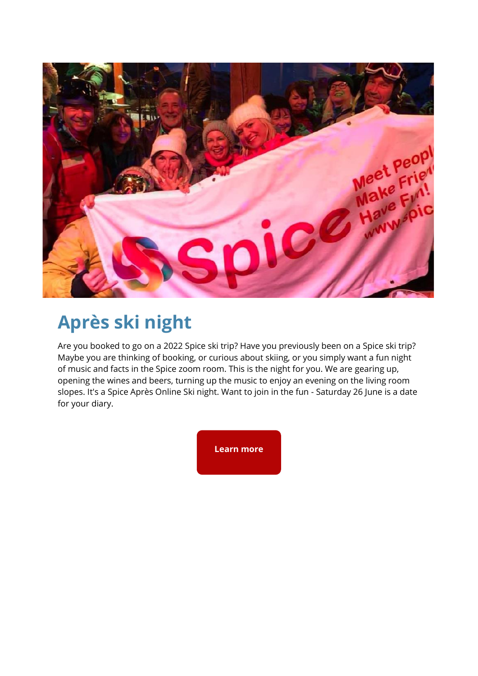

## **Après ski night**

Are you booked to go on a 2022 Spice ski trip? Have you previously been on a Spice ski trip? Maybe you are thinking of booking, or curious about skiing, or you simply want a fun night of music and facts in the Spice zoom room. This is the night for you. We are gearing up, opening the wines and beers, turning up the music to enjoy an evening on the living room slopes. It's a Spice Après Online Ski night. Want to join in the fun - Saturday 26 June is a date for your diary.

**[Learn more](https://spiceuk.lt.acemlna.com/Prod/link-tracker?redirectUrl=aHR0cHMlM0ElMkYlMkZ3d3cuc3BpY2V1ay5jb20lMkZldmVudHMtaG9saWRheXMlMkZzcGljZS1leGNsdXNpdmUtdGhlLWFwcmUtc2tpLXNob3ctb25saW5l&a=650344965&account=spiceuk%2Eactivehosted%2Ecom&email=1lNuJE%2BrfgC%2F8jRYTdcwIV8mo4ad0FCroTtAVDq%2FbzQ%3D&s=b900027c55ea3ffe9431fd4817f89468&i=113A131A4A2474)**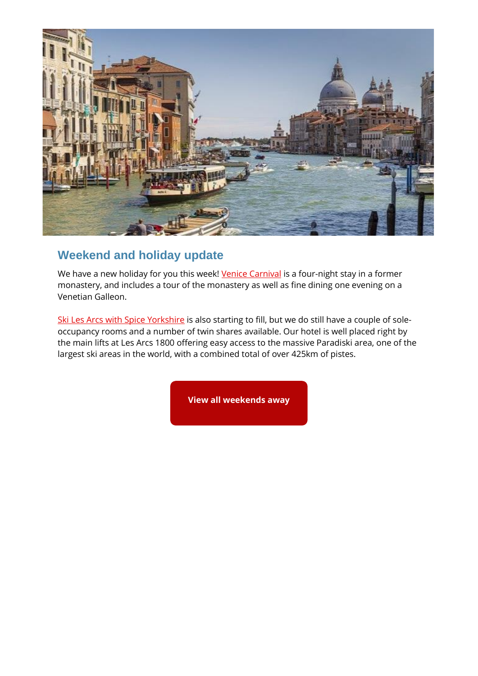

#### **Weekend and holiday update**

We have a new holiday for you this week! [Venice Carnival](https://spiceuk.lt.acemlna.com/Prod/link-tracker?redirectUrl=aHR0cHMlM0ElMkYlMkZ3d3cuc3BpY2V1ay5jb20lMkZldmVudHMtaG9saWRheXMlMkZ2ZW5pY2UtY2Fybml2YWwtMjAtZmViLTIy&a=650344965&account=spiceuk%2Eactivehosted%2Ecom&email=1lNuJE%2BrfgC%2F8jRYTdcwIV8mo4ad0FCroTtAVDq%2FbzQ%3D&s=b900027c55ea3ffe9431fd4817f89468&i=113A131A4A2475) is a four-night stay in a former monastery, and includes a tour of the monastery as well as fine dining one evening on a Venetian Galleon.

[Ski Les Arcs with Spice Yorkshire](https://spiceuk.lt.acemlna.com/Prod/link-tracker?redirectUrl=aHR0cHMlM0ElMkYlMkZ3d3cuc3BpY2V1ay5jb20lMkZldmVudHMtaG9saWRheXMlMkZza2ktbGVzLWFyY3Mtd2l0aC1zcGljZS15b3Jrc2hpcmU=&a=650344965&account=spiceuk%2Eactivehosted%2Ecom&email=1lNuJE%2BrfgC%2F8jRYTdcwIV8mo4ad0FCroTtAVDq%2FbzQ%3D&s=b900027c55ea3ffe9431fd4817f89468&i=113A131A4A2409) is also starting to fill, but we do still have a couple of soleoccupancy rooms and a number of twin shares available. Our hotel is well placed right by the main lifts at Les Arcs 1800 offering easy access to the massive Paradiski area, one of the largest ski areas in the world, with a combined total of over 425km of pistes.

**[View all weekends away](https://spiceuk.lt.acemlna.com/Prod/link-tracker?redirectUrl=aHR0cHMlM0ElMkYlMkZ3d3cuc3BpY2V1ay5jb20lMkZldmVudHMtaG9saWRheXMlM0Zvd25lciUzREFsbCUyNm1hc3RlckNhdGVnb3J5JTNEV2Vla2VuZHMlMjUyMEF3YXk=&a=650344965&account=spiceuk%2Eactivehosted%2Ecom&email=1lNuJE%2BrfgC%2F8jRYTdcwIV8mo4ad0FCroTtAVDq%2FbzQ%3D&s=b900027c55ea3ffe9431fd4817f89468&i=113A131A4A2410)**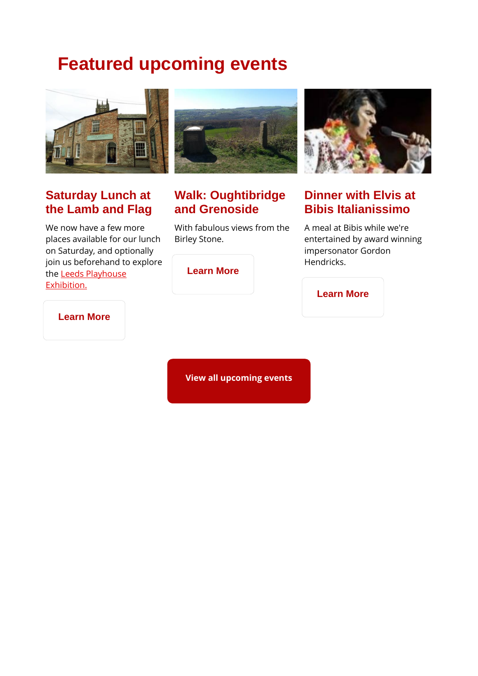## **Featured upcoming events**



#### **Saturday Lunch at the Lamb and Flag**

We now have a few more places available for our lunch on Saturday, and optionally join us beforehand to explore th[e Leeds Playhouse](https://spiceuk.lt.acemlna.com/Prod/link-tracker?redirectUrl=aHR0cHMlM0ElMkYlMkZ3d3cuc3BpY2V1ay5jb20lMkZldmVudHMtaG9saWRheXMlMkY1MC15ZWFycy1vZi1sZWVkcy1wbGF5aG91c2UtZXhoaWJpdGlvbg==&a=650344965&account=spiceuk%2Eactivehosted%2Ecom&email=1lNuJE%2BrfgC%2F8jRYTdcwIV8mo4ad0FCroTtAVDq%2FbzQ%3D&s=b900027c55ea3ffe9431fd4817f89468&i=113A131A4A2419)  [Exhibition.](https://spiceuk.lt.acemlna.com/Prod/link-tracker?redirectUrl=aHR0cHMlM0ElMkYlMkZ3d3cuc3BpY2V1ay5jb20lMkZldmVudHMtaG9saWRheXMlMkY1MC15ZWFycy1vZi1sZWVkcy1wbGF5aG91c2UtZXhoaWJpdGlvbg==&a=650344965&account=spiceuk%2Eactivehosted%2Ecom&email=1lNuJE%2BrfgC%2F8jRYTdcwIV8mo4ad0FCroTtAVDq%2FbzQ%3D&s=b900027c55ea3ffe9431fd4817f89468&i=113A131A4A2419)



#### **Walk: Oughtibridge and Grenoside**

With fabulous views from the Birley Stone.



### **Dinner with Elvis at Bibis Italianissimo**

A meal at Bibis while we're entertained by award winning impersonator Gordon Hendricks.

| <b>Learn More</b> |  |
|-------------------|--|
|-------------------|--|

#### **[Learn More](https://spiceuk.lt.acemlna.com/Prod/link-tracker?redirectUrl=aHR0cHMlM0ElMkYlMkZ3d3cuc3BpY2V1ay5jb20lMkZldmVudHMtaG9saWRheXMlMkZ3YWxrLW91Z2h0aWJyaWRnZS1hbmQtZ3Jlbm9zaWRl&a=650344965&account=spiceuk%2Eactivehosted%2Ecom&email=1lNuJE%2BrfgC%2F8jRYTdcwIV8mo4ad0FCroTtAVDq%2FbzQ%3D&s=b900027c55ea3ffe9431fd4817f89468&i=113A131A4A2414)**

**[Learn More](https://spiceuk.lt.acemlna.com/Prod/link-tracker?redirectUrl=aHR0cHMlM0ElMkYlMkZ3d3cuc3BpY2V1ay5jb20lMkZldmVudHMtaG9saWRheXMlMkZkaW5uZXItd2l0aC1lbHZpcy1hdC1iaWJpcy1pdGFsaWFuaXNzaW1vLWxlZWRz&a=650344965&account=spiceuk%2Eactivehosted%2Ecom&email=1lNuJE%2BrfgC%2F8jRYTdcwIV8mo4ad0FCroTtAVDq%2FbzQ%3D&s=b900027c55ea3ffe9431fd4817f89468&i=113A131A4A2477)**

**[View all upcoming events](https://spiceuk.lt.acemlna.com/Prod/link-tracker?redirectUrl=aHR0cHMlM0ElMkYlMkZ3d3cuc3BpY2V1ay5jb20lMkZldmVudHMtaG9saWRheXMlM0ZtYXN0ZXJDYXRlZ29yeSUzREFsbCUyNmNhdGVnb3J5JTNEQWxsJTI2b3duZXIlM0RBbGw=&a=650344965&account=spiceuk%2Eactivehosted%2Ecom&email=1lNuJE%2BrfgC%2F8jRYTdcwIV8mo4ad0FCroTtAVDq%2FbzQ%3D&s=b900027c55ea3ffe9431fd4817f89468&i=113A131A4A2416)**